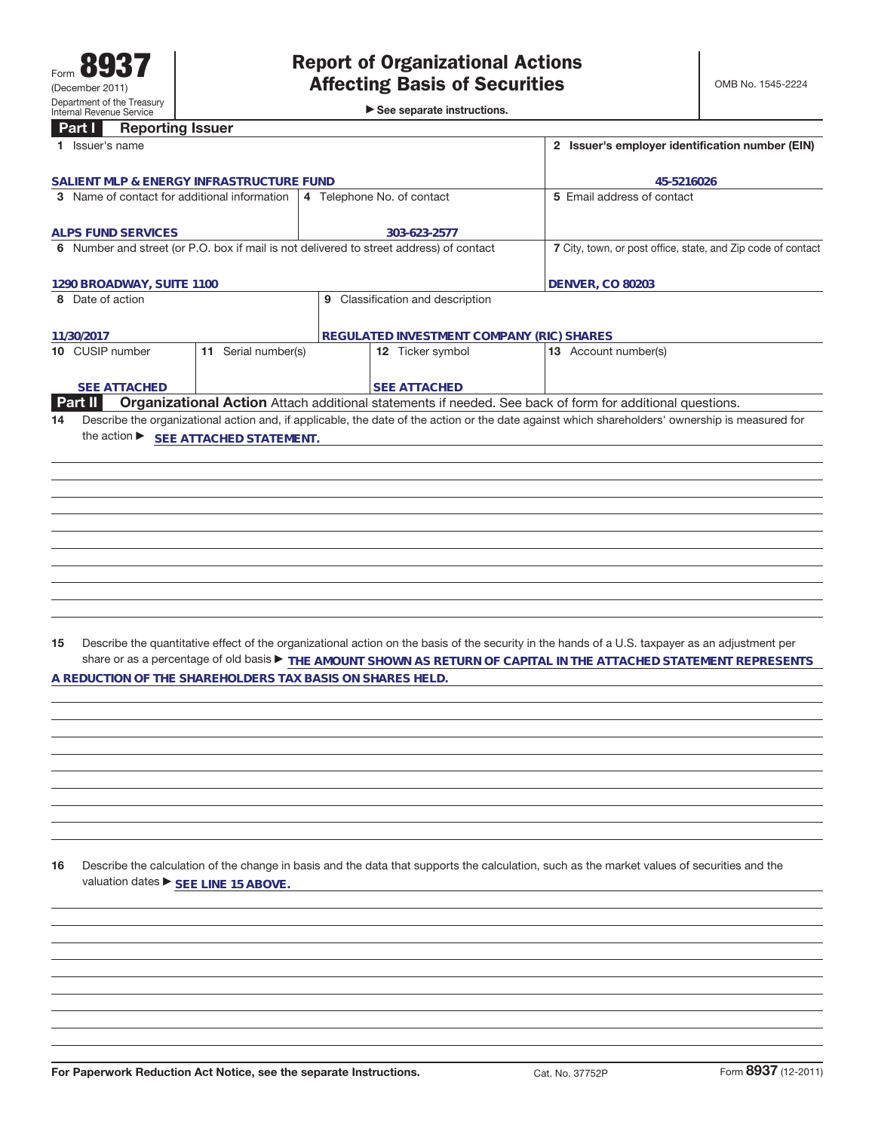►<br>► See separate instructions.

## **Part I Reporting Issuer**

| Part I<br><b>Reporting issuer</b>                                                                                    |                                                                                                          |                                                                                                                                                 |  |  |
|----------------------------------------------------------------------------------------------------------------------|----------------------------------------------------------------------------------------------------------|-------------------------------------------------------------------------------------------------------------------------------------------------|--|--|
| 1 Issuer's name                                                                                                      | 2 Issuer's employer identification number (EIN)                                                          |                                                                                                                                                 |  |  |
| SALIENT MLP & ENERGY INFRASTRUCTURE FUND                                                                             | 45-5216026                                                                                               |                                                                                                                                                 |  |  |
| 3 Name of contact for additional information                                                                         | 5 Email address of contact                                                                               |                                                                                                                                                 |  |  |
|                                                                                                                      |                                                                                                          |                                                                                                                                                 |  |  |
| <b>ALPS FUND SERVICES</b><br>6 Number and street (or P.O. box if mail is not delivered to street address) of contact | 303-623-2577                                                                                             | 7 City, town, or post office, state, and Zip code of contact                                                                                    |  |  |
|                                                                                                                      |                                                                                                          |                                                                                                                                                 |  |  |
| 1290 BROADWAY, SUITE 1100                                                                                            |                                                                                                          | <b>DENVER, CO 80203</b>                                                                                                                         |  |  |
| 8 Date of action                                                                                                     | 9 Classification and description                                                                         |                                                                                                                                                 |  |  |
|                                                                                                                      |                                                                                                          |                                                                                                                                                 |  |  |
| 11/30/2017                                                                                                           | REGULATED INVESTMENT COMPANY (RIC) SHARES                                                                |                                                                                                                                                 |  |  |
| 11 Serial number(s)<br>10 CUSIP number                                                                               | 12 Ticker symbol                                                                                         | 13 Account number(s)                                                                                                                            |  |  |
| <b>SEE ATTACHED</b>                                                                                                  | <b>SEE ATTACHED</b>                                                                                      |                                                                                                                                                 |  |  |
| Part II                                                                                                              | Organizational Action Attach additional statements if needed. See back of form for additional questions. |                                                                                                                                                 |  |  |
| 14                                                                                                                   |                                                                                                          | Describe the organizational action and, if applicable, the date of the action or the date against which shareholders' ownership is measured for |  |  |
| the action ▶ SEE ATTACHED STATEMENT.                                                                                 |                                                                                                          |                                                                                                                                                 |  |  |
|                                                                                                                      |                                                                                                          |                                                                                                                                                 |  |  |
|                                                                                                                      |                                                                                                          |                                                                                                                                                 |  |  |
|                                                                                                                      |                                                                                                          |                                                                                                                                                 |  |  |
|                                                                                                                      |                                                                                                          |                                                                                                                                                 |  |  |
|                                                                                                                      |                                                                                                          |                                                                                                                                                 |  |  |
|                                                                                                                      |                                                                                                          |                                                                                                                                                 |  |  |
|                                                                                                                      |                                                                                                          |                                                                                                                                                 |  |  |
|                                                                                                                      |                                                                                                          |                                                                                                                                                 |  |  |
|                                                                                                                      |                                                                                                          |                                                                                                                                                 |  |  |
|                                                                                                                      |                                                                                                          |                                                                                                                                                 |  |  |
|                                                                                                                      |                                                                                                          |                                                                                                                                                 |  |  |
| 15                                                                                                                   |                                                                                                          | Describe the quantitative effect of the organizational action on the basis of the security in the hands of a U.S. taxpayer as an adjustment per |  |  |
|                                                                                                                      |                                                                                                          | share or as a percentage of old basis FHE AMOUNT SHOWN AS RETURN OF CAPITAL IN THE ATTACHED STATEMENT REPRESENTS                                |  |  |
| A REDUCTION OF THE SHAREHOLDERS TAX BASIS ON SHARES HELD.                                                            |                                                                                                          |                                                                                                                                                 |  |  |
|                                                                                                                      |                                                                                                          |                                                                                                                                                 |  |  |
|                                                                                                                      |                                                                                                          |                                                                                                                                                 |  |  |
|                                                                                                                      |                                                                                                          |                                                                                                                                                 |  |  |
|                                                                                                                      |                                                                                                          |                                                                                                                                                 |  |  |
|                                                                                                                      |                                                                                                          |                                                                                                                                                 |  |  |
|                                                                                                                      |                                                                                                          |                                                                                                                                                 |  |  |
|                                                                                                                      |                                                                                                          |                                                                                                                                                 |  |  |
|                                                                                                                      |                                                                                                          |                                                                                                                                                 |  |  |
|                                                                                                                      |                                                                                                          |                                                                                                                                                 |  |  |
| 16<br>valuation dates ▶ SEE LINE 15 ABOVE.                                                                           |                                                                                                          | Describe the calculation of the change in basis and the data that supports the calculation, such as the market values of securities and the     |  |  |
|                                                                                                                      |                                                                                                          |                                                                                                                                                 |  |  |
|                                                                                                                      |                                                                                                          |                                                                                                                                                 |  |  |
|                                                                                                                      |                                                                                                          |                                                                                                                                                 |  |  |
|                                                                                                                      |                                                                                                          |                                                                                                                                                 |  |  |
|                                                                                                                      |                                                                                                          |                                                                                                                                                 |  |  |
|                                                                                                                      |                                                                                                          |                                                                                                                                                 |  |  |
|                                                                                                                      |                                                                                                          |                                                                                                                                                 |  |  |
|                                                                                                                      |                                                                                                          |                                                                                                                                                 |  |  |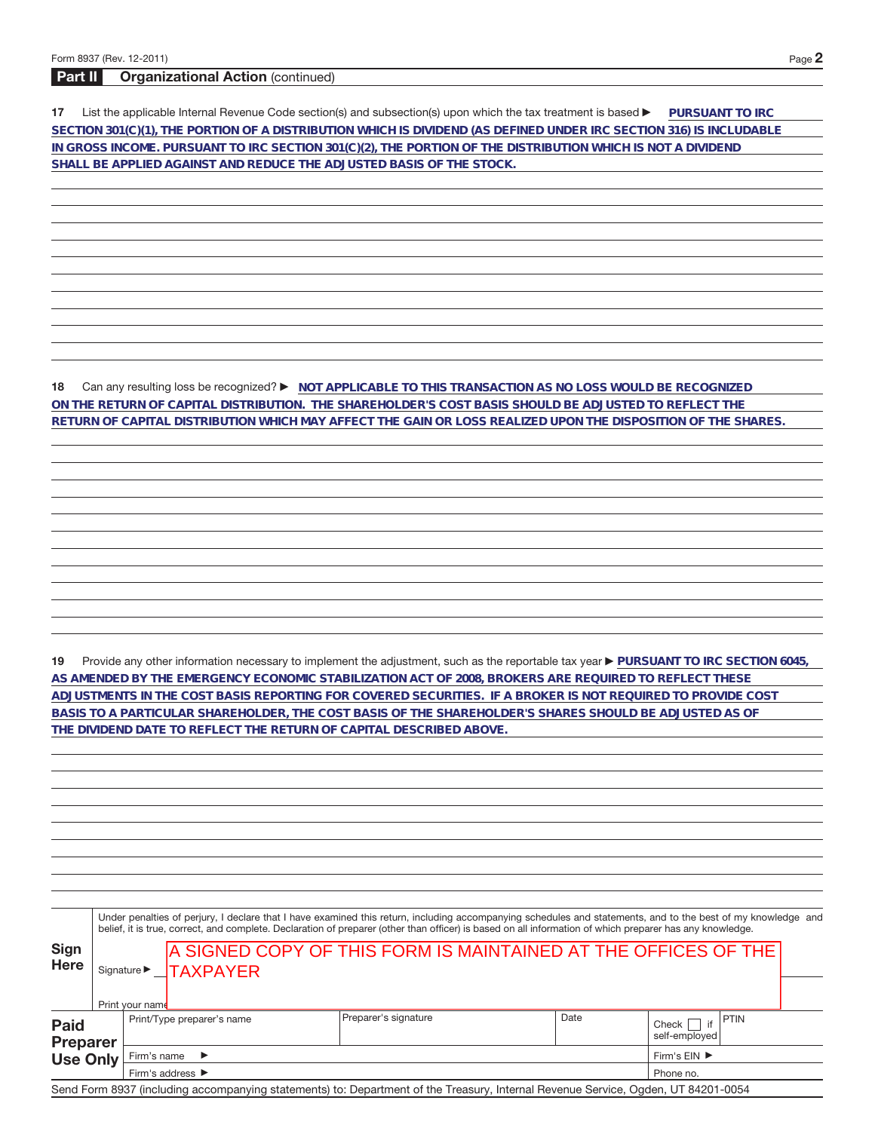## **Part II Organizational Action** (continued)

**17** List the applicable Internal Revenue Code section(s) and subsection(s) upon which the tax treatment is based **DuRSUANT TO IRC SECTION 301(C)(1), THE PORTION OF A DISTRIBUTION WHICH IS DIVIDEND (AS DEFINED UNDER IRC SECTION 316) IS INCLUDABLE IN GROSS INCOME. PURSUANT TO IRC SECTION 301(C)(2), THE PORTION OF THE DISTRIBUTION WHICH IS NOT A DIVIDEND SHALL BE APPLIED AGAINST AND REDUCE THE ADJUSTED BASIS OF THE STOCK.**

**18** Can any resulting loss be recognized? ▶ NOT APPLICABLE TO THIS TRANSACTION AS NO LOSS WOULD BE RECOGNIZED **ON THE RETURN OF CAPITAL DISTRIBUTION. THE SHAREHOLDER'S COST BASIS SHOULD BE ADJUSTED TO REFLECT THE RETURN OF CAPITAL DISTRIBUTION WHICH MAY AFFECT THE GAIN OR LOSS REALIZED UPON THE DISPOSITION OF THE SHARES.**

19 Provide any other information necessary to implement the adjustment, such as the reportable tax year **PURSUANT TO IRC SECTION 6045**, **AS AMENDED BY THE EMERGENCY ECONOMIC STABILIZATION ACT OF 2008, BROKERS ARE REQUIRED TO REFLECT THESE ADJUSTMENTS IN THE COST BASIS REPORTING FOR COVERED SECURITIES. IF A BROKER IS NOT REQUIRED TO PROVIDE COST BASIS TO A PARTICULAR SHAREHOLDER, THE COST BASIS OF THE SHAREHOLDER'S SHARES SHOULD BE ADJUSTED AS OF THE DIVIDEND DATE TO REFLECT THE RETURN OF CAPITAL DESCRIBED ABOVE.**

|                                                   |                                                                 | Under penalties of perjury, I declare that I have examined this return, including accompanying schedules and statements, and to the best of my knowledge and<br>belief, it is true, correct, and complete. Declaration of preparer (other than officer) is based on all information of which preparer has any knowledge. |                      |                                                                |              |                                        |  |  |  |  |  |
|---------------------------------------------------|-----------------------------------------------------------------|--------------------------------------------------------------------------------------------------------------------------------------------------------------------------------------------------------------------------------------------------------------------------------------------------------------------------|----------------------|----------------------------------------------------------------|--------------|----------------------------------------|--|--|--|--|--|
| <b>Sign</b><br>Here                               |                                                                 | Print your name                                                                                                                                                                                                                                                                                                          | Signature > TAXPAYER | A SIGNED COPY OF THIS FORM IS MAINTAINED AT THE OFFICES OF THE |              |                                        |  |  |  |  |  |
| <b>Paid</b><br><b>Preparer</b><br><b>Use Only</b> | Print/Type preparer's name<br>Firm's name $\blacktriangleright$ |                                                                                                                                                                                                                                                                                                                          |                      | Preparer's signature                                           | Date         | PTIN<br>if<br>Check  <br>self-emploved |  |  |  |  |  |
|                                                   |                                                                 |                                                                                                                                                                                                                                                                                                                          |                      |                                                                | Firm's EIN ▶ |                                        |  |  |  |  |  |
|                                                   |                                                                 |                                                                                                                                                                                                                                                                                                                          | Firm's address ▶     |                                                                |              | Phone no.                              |  |  |  |  |  |

Send Form 8937 (including accompanying statements) to: Department of the Treasury, Internal Revenue Service, Ogden, UT 84201-0054